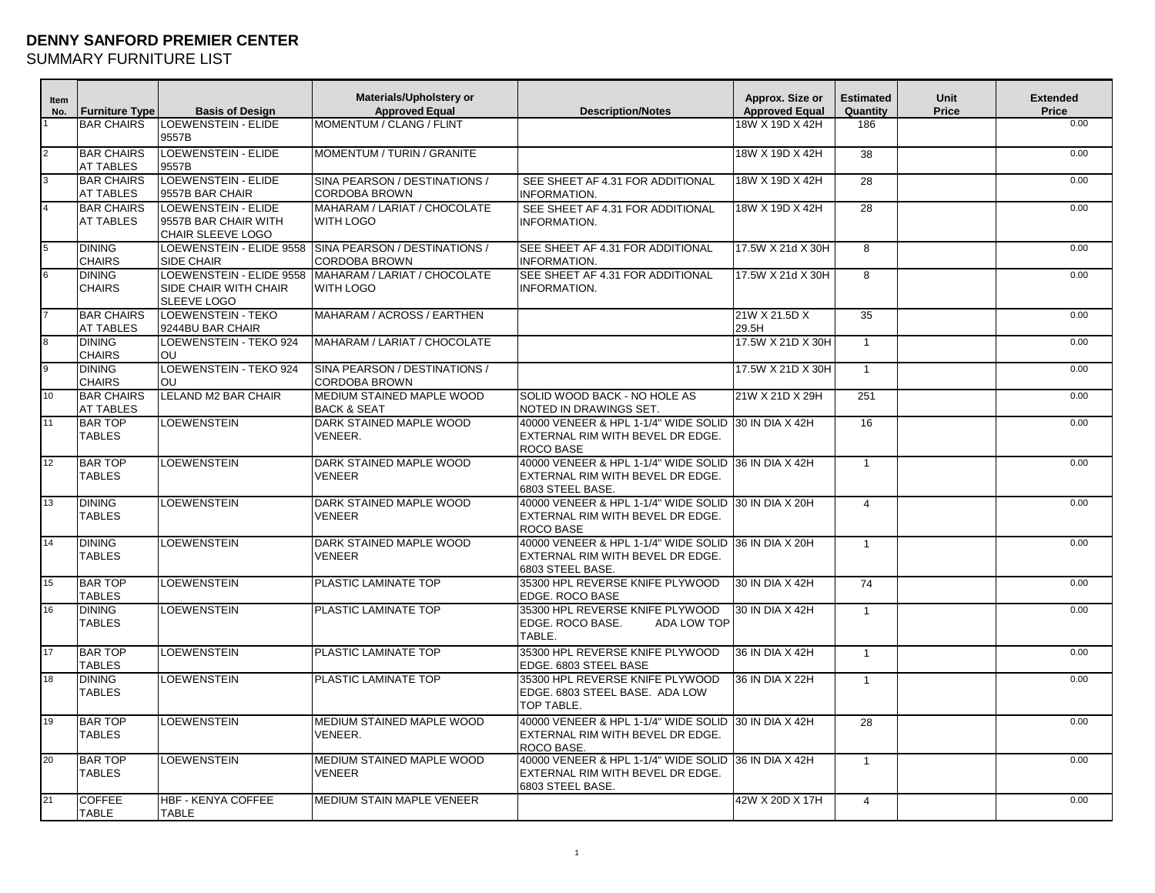## **DENNY SANFORD PREMIER CENTER**

SUMMARY FURNITURE LIST

| <b>Item</b><br>No. | <b>Furniture Type</b>                 | <b>Basis of Design</b>                                                  | Materials/Upholstery or<br><b>Approved Equal</b>                        | <b>Description/Notes</b>                                                                                      | Approx. Size or<br><b>Approved Equal</b> | <b>Estimated</b><br>Quantity | Unit<br>Price | <b>Extended</b><br>Price |
|--------------------|---------------------------------------|-------------------------------------------------------------------------|-------------------------------------------------------------------------|---------------------------------------------------------------------------------------------------------------|------------------------------------------|------------------------------|---------------|--------------------------|
|                    | <b>BAR CHAIRS</b>                     | LOEWENSTEIN - ELIDE<br>9557B                                            | MOMENTUM / CLANG / FLINT                                                |                                                                                                               | 18W X 19D X 42H                          | 186                          |               | 0.00                     |
|                    | <b>BAR CHAIRS</b><br><b>AT TABLES</b> | <b>LOEWENSTEIN - ELIDE</b><br>9557B                                     | MOMENTUM / TURIN / GRANITE                                              |                                                                                                               | 18W X 19D X 42H                          | 38                           |               | 0.00                     |
|                    | <b>BAR CHAIRS</b><br><b>AT TABLES</b> | LOEWENSTEIN - ELIDE<br>9557B BAR CHAIR                                  | SINA PEARSON / DESTINATIONS /<br><b>CORDOBA BROWN</b>                   | SEE SHEET AF 4.31 FOR ADDITIONAL<br>INFORMATION.                                                              | 18W X 19D X 42H                          | 28                           |               | 0.00                     |
|                    | <b>BAR CHAIRS</b><br><b>AT TABLES</b> | <b>LOEWENSTEIN - ELIDE</b><br>9557B BAR CHAIR WITH<br>CHAIR SLEEVE LOGO | MAHARAM / LARIAT / CHOCOLATE<br>WITH LOGO                               | SEE SHEET AF 4.31 FOR ADDITIONAL<br><b>INFORMATION.</b>                                                       | 18W X 19D X 42H                          | 28                           |               | 0.00                     |
| 5                  | <b>DINING</b><br><b>CHAIRS</b>        | SIDE CHAIR                                                              | LOEWENSTEIN - ELIDE 9558 SINA PEARSON / DESTINATIONS /<br>CORDOBA BROWN | SEE SHEET AF 4.31 FOR ADDITIONAL<br>INFORMATION.                                                              | 17.5W X 21d X 30H                        | 8                            |               | 0.00                     |
| 6                  | <b>DINING</b><br><b>CHAIRS</b>        | LOEWENSTEIN - ELIDE 9558<br>SIDE CHAIR WITH CHAIR<br>SLEEVE LOGO        | MAHARAM / LARIAT / CHOCOLATE<br>WITH LOGO                               | SEE SHEET AF 4.31 FOR ADDITIONAL<br><b>INFORMATION.</b>                                                       | 17.5W X 21d X 30H                        | 8                            |               | 0.00                     |
|                    | <b>BAR CHAIRS</b><br><b>AT TABLES</b> | <b>LOEWENSTEIN - TEKO</b><br>9244BU BAR CHAIR                           | MAHARAM / ACROSS / EARTHEN                                              |                                                                                                               | 21W X 21.5D X<br>29.5H                   | 35                           |               | 0.00                     |
| <b>R</b>           | <b>DINING</b><br><b>CHAIRS</b>        | LOEWENSTEIN - TEKO 924<br><b>OU</b>                                     | MAHARAM / LARIAT / CHOCOLATE                                            |                                                                                                               | 17.5W X 21D X 30H                        | $\overline{1}$               |               | 0.00                     |
| 9                  | <b>DINING</b><br><b>CHAIRS</b>        | LOEWENSTEIN - TEKO 924<br>OU                                            | SINA PEARSON / DESTINATIONS /<br><b>CORDOBA BROWN</b>                   |                                                                                                               | 17.5W X 21D X 30H                        | $\overline{1}$               |               | 0.00                     |
| 10                 | <b>BAR CHAIRS</b><br><b>AT TABLES</b> | LELAND M2 BAR CHAIR                                                     | MEDIUM STAINED MAPLE WOOD<br>BACK & SEAT                                | SOLID WOOD BACK - NO HOLE AS<br>NOTED IN DRAWINGS SET.                                                        | 21W X 21D X 29H                          | 251                          |               | 0.00                     |
| 11                 | <b>BAR TOP</b><br><b>TABLES</b>       | <b>LOEWENSTEIN</b>                                                      | DARK STAINED MAPLE WOOD<br>VENEER.                                      | 40000 VENEER & HPL 1-1/4" WIDE SOLID 30 IN DIA X 42H<br>EXTERNAL RIM WITH BEVEL DR EDGE.<br><b>ROCO BASE</b>  |                                          | 16                           |               | 0.00                     |
| 12                 | <b>BAR TOP</b><br><b>TABLES</b>       | <b>LOEWENSTEIN</b>                                                      | DARK STAINED MAPLE WOOD<br><b>VENEER</b>                                | 40000 VENEER & HPL 1-1/4" WIDE SOLID<br>EXTERNAL RIM WITH BEVEL DR EDGE.<br>6803 STEEL BASE.                  | 36 IN DIA X 42H                          | $\overline{1}$               |               | 0.00                     |
| 13                 | <b>DINING</b><br><b>TABLES</b>        | <b>LOEWENSTEIN</b>                                                      | DARK STAINED MAPLE WOOD<br>VENEER                                       | 40000 VENEER & HPL 1-1/4" WIDE SOLID 130 IN DIA X 20H<br>EXTERNAL RIM WITH BEVEL DR EDGE.<br><b>ROCO BASE</b> |                                          | $\overline{4}$               |               | 0.00                     |
| 14                 | <b>DINING</b><br><b>TABLES</b>        | <b>LOEWENSTEIN</b>                                                      | DARK STAINED MAPLE WOOD<br>VENEER                                       | 40000 VENEER & HPL 1-1/4" WIDE SOLID<br>EXTERNAL RIM WITH BEVEL DR EDGE.<br>6803 STEEL BASE.                  | 36 IN DIA X 20H                          | $\overline{1}$               |               | 0.00                     |
| 15                 | <b>BAR TOP</b><br><b>TABLES</b>       | <b>LOEWENSTEIN</b>                                                      | PLASTIC LAMINATE TOP                                                    | 35300 HPL REVERSE KNIFE PLYWOOD<br>EDGE. ROCO BASE                                                            | 30 IN DIA X 42H                          | 74                           |               | 0.00                     |
| 16                 | <b>DINING</b><br><b>TABLES</b>        | <b>LOEWENSTEIN</b>                                                      | PLASTIC LAMINATE TOP                                                    | 35300 HPL REVERSE KNIFE PLYWOOD<br>EDGE. ROCO BASE.<br><b>ADA LOW TOP</b><br>TABLE.                           | 30 IN DIA X 42H                          | $\overline{1}$               |               | 0.00                     |
| 17                 | <b>BAR TOP</b><br><b>TABLES</b>       | <b>LOEWENSTEIN</b>                                                      | PLASTIC LAMINATE TOP                                                    | 35300 HPL REVERSE KNIFE PLYWOOD<br>EDGE. 6803 STEEL BASE                                                      | 36 IN DIA X 42H                          | $\mathbf{1}$                 |               | 0.00                     |
| 18                 | <b>DINING</b><br><b>TABLES</b>        | <b>LOEWENSTEIN</b>                                                      | PLASTIC LAMINATE TOP                                                    | 35300 HPL REVERSE KNIFE PLYWOOD<br>EDGE. 6803 STEEL BASE. ADA LOW<br>TOP TABLE.                               | 36 IN DIA X 22H                          | $\overline{1}$               |               | 0.00                     |
| 19                 | <b>BAR TOP</b><br><b>TABLES</b>       | <b>LOEWENSTEIN</b>                                                      | MEDIUM STAINED MAPLE WOOD<br>VENEER.                                    | 40000 VENEER & HPL 1-1/4" WIDE SOLID  30 IN DIA X 42H<br>EXTERNAL RIM WITH BEVEL DR EDGE.<br>ROCO BASE.       |                                          | 28                           |               | 0.00                     |
| 20                 | <b>BAR TOP</b><br><b>TABLES</b>       | <b>LOEWENSTEIN</b>                                                      | MEDIUM STAINED MAPLE WOOD<br>VENEER                                     | 40000 VENEER & HPL 1-1/4" WIDE SOLID<br>EXTERNAL RIM WITH BEVEL DR EDGE.<br>6803 STEEL BASE.                  | 36 IN DIA X 42H                          | $\overline{1}$               |               | 0.00                     |
| 21                 | <b>COFFEE</b><br><b>TABLE</b>         | <b>HBF - KENYA COFFEE</b><br>TABLE                                      | MEDIUM STAIN MAPLE VENEER                                               |                                                                                                               | 42W X 20D X 17H                          | $\overline{4}$               |               | 0.00                     |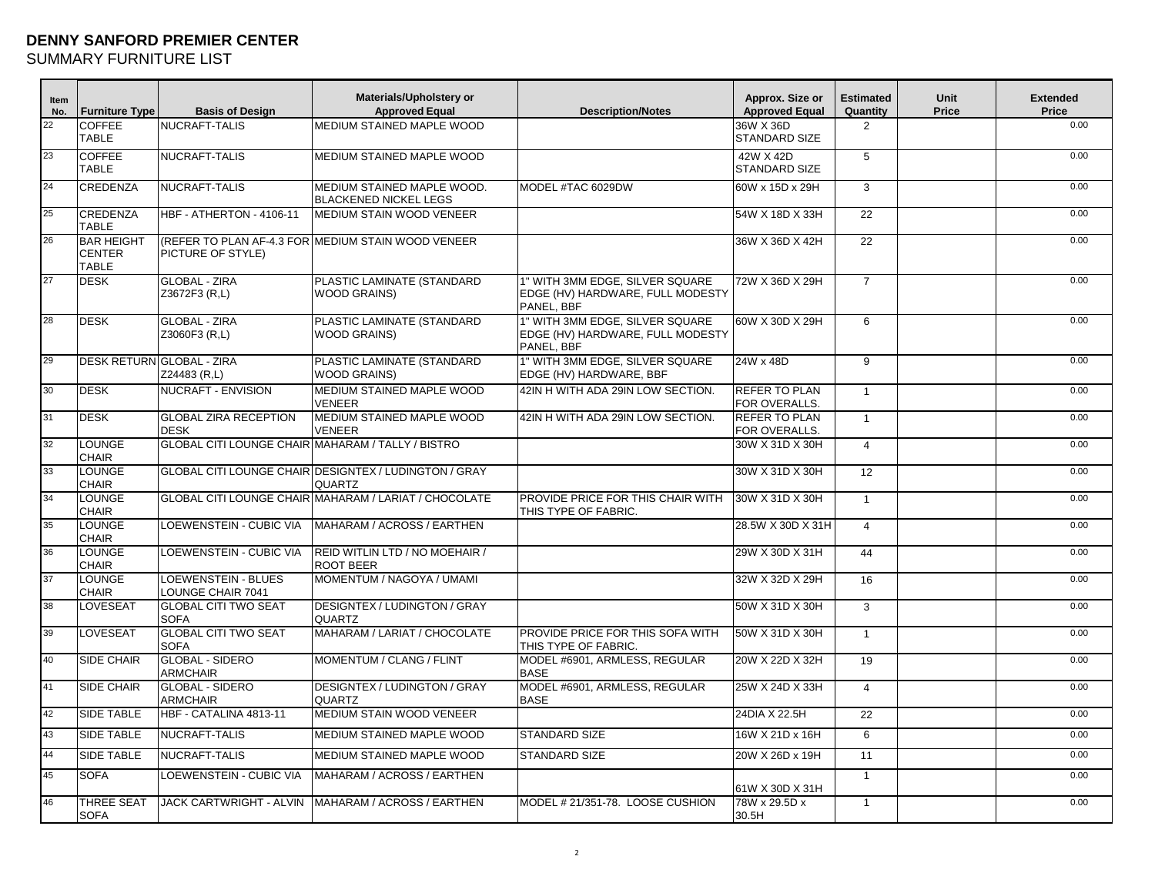## **DENNY SANFORD PREMIER CENTER**

SUMMARY FURNITURE LIST

| Item<br>No.     | <b>Furniture Type</b>                              | <b>Basis of Design</b>                            | Materials/Upholstery or<br><b>Approved Equal</b>                | <b>Description/Notes</b>                                                          | Approx. Size or<br><b>Approved Equal</b> | <b>Estimated</b><br>Quantity | Unit<br>Price | <b>Extended</b><br>Price |
|-----------------|----------------------------------------------------|---------------------------------------------------|-----------------------------------------------------------------|-----------------------------------------------------------------------------------|------------------------------------------|------------------------------|---------------|--------------------------|
| 22              | <b>COFFEE</b><br><b>TABLE</b>                      | NUCRAFT-TALIS                                     | MEDIUM STAINED MAPLE WOOD                                       |                                                                                   | 36W X 36D<br><b>STANDARD SIZE</b>        | $\overline{2}$               |               | 0.00                     |
| 23              | <b>COFFEE</b><br><b>TABLE</b>                      | NUCRAFT-TALIS                                     | MEDIUM STAINED MAPLE WOOD                                       |                                                                                   | 42W X 42D<br><b>STANDARD SIZE</b>        | 5                            |               | 0.00                     |
| 24              | <b>CREDENZA</b>                                    | NUCRAFT-TALIS                                     | MEDIUM STAINED MAPLE WOOD.<br><b>BLACKENED NICKEL LEGS</b>      | MODEL #TAC 6029DW                                                                 | 60W x 15D x 29H                          | 3                            |               | 0.00                     |
| 25              | <b>CREDENZA</b><br><b>TABLE</b>                    | HBF - ATHERTON - 4106-11                          | MEDIUM STAIN WOOD VENEER                                        |                                                                                   | 54W X 18D X 33H                          | $\overline{22}$              |               | 0.00                     |
| 26              | <b>BAR HEIGHT</b><br><b>CENTER</b><br><b>TABLE</b> | PICTURE OF STYLE)                                 | (REFER TO PLAN AF-4.3 FOR MEDIUM STAIN WOOD VENEER              |                                                                                   | 36W X 36D X 42H                          | 22                           |               | 0.00                     |
| 27              | <b>DESK</b>                                        | <b>GLOBAL - ZIRA</b><br>Z3672F3 (R,L)             | PLASTIC LAMINATE (STANDARD<br><b>WOOD GRAINS)</b>               | 1" WITH 3MM EDGE. SILVER SQUARE<br>EDGE (HV) HARDWARE, FULL MODESTY<br>PANEL, BBF | 72W X 36D X 29H                          | $\overline{7}$               |               | 0.00                     |
| 28              | <b>DESK</b>                                        | <b>GLOBAL - ZIRA</b><br>Z3060F3 (R,L)             | PLASTIC LAMINATE (STANDARD<br><b>WOOD GRAINS)</b>               | 1" WITH 3MM EDGE, SILVER SQUARE<br>EDGE (HV) HARDWARE, FULL MODESTY<br>PANEL, BBF | 60W X 30D X 29H                          | 6                            |               | 0.00                     |
| 29              | <b>DESK RETURN GLOBAL - ZIRA</b>                   | Z24483 (R,L)                                      | PLASTIC LAMINATE (STANDARD<br><b>WOOD GRAINS)</b>               | 1" WITH 3MM EDGE, SILVER SQUARE<br>EDGE (HV) HARDWARE, BBF                        | 24W x 48D                                | 9                            |               | 0.00                     |
| 30 <sup>2</sup> | <b>DESK</b>                                        | <b>NUCRAFT - ENVISION</b>                         | MEDIUM STAINED MAPLE WOOD<br><b>VENEER</b>                      | 42IN H WITH ADA 29IN LOW SECTION.                                                 | <b>REFER TO PLAN</b><br>FOR OVERALLS.    | $\mathbf{1}$                 |               | 0.00                     |
| 31              | <b>DESK</b>                                        | <b>GLOBAL ZIRA RECEPTION</b><br><b>DESK</b>       | MEDIUM STAINED MAPLE WOOD<br><b>VENEER</b>                      | 42IN H WITH ADA 29IN LOW SECTION.                                                 | <b>REFER TO PLAN</b><br>FOR OVERALLS.    | $\overline{1}$               |               | 0.00                     |
| 32              | <b>LOUNGE</b><br><b>CHAIR</b>                      | GLOBAL CITI LOUNGE CHAIR MAHARAM / TALLY / BISTRO |                                                                 |                                                                                   | 30W X 31D X 30H                          | $\overline{4}$               |               | 0.00                     |
| 33              | <b>LOUNGE</b><br><b>CHAIR</b>                      |                                                   | GLOBAL CITI LOUNGE CHAIR DESIGNTEX / LUDINGTON / GRAY<br>QUARTZ |                                                                                   | 30W X 31D X 30H                          | 12                           |               | 0.00                     |
| 34              | <b>LOUNGE</b><br><b>CHAIR</b>                      |                                                   | GLOBAL CITI LOUNGE CHAIR MAHARAM / LARIAT / CHOCOLATE           | PROVIDE PRICE FOR THIS CHAIR WITH<br>THIS TYPE OF FABRIC.                         | 30W X 31D X 30H                          | $\overline{1}$               |               | 0.00                     |
| 35              | <b>LOUNGE</b><br><b>CHAIR</b>                      | <b>LOEWENSTEIN - CUBIC VIA</b>                    | MAHARAM / ACROSS / EARTHEN                                      |                                                                                   | 28.5W X 30D X 31H                        | $\overline{4}$               |               | 0.00                     |
| 36              | <b>LOUNGE</b><br><b>CHAIR</b>                      | LOEWENSTEIN - CUBIC VIA                           | REID WITLIN LTD / NO MOEHAIR /<br><b>ROOT BEER</b>              |                                                                                   | 29W X 30D X 31H                          | 44                           |               | 0.00                     |
| 37              | <b>LOUNGE</b><br><b>CHAIR</b>                      | LOEWENSTEIN - BLUES<br><b>LOUNGE CHAIR 7041</b>   | MOMENTUM / NAGOYA / UMAMI                                       |                                                                                   | 32W X 32D X 29H                          | 16                           |               | 0.00                     |
| 38              | <b>LOVESEAT</b>                                    | <b>GLOBAL CITI TWO SEAT</b><br><b>SOFA</b>        | <b>DESIGNTEX / LUDINGTON / GRAY</b><br>QUARTZ                   |                                                                                   | 50W X 31D X 30H                          | 3                            |               | 0.00                     |
| 39              | <b>LOVESEAT</b>                                    | <b>GLOBAL CITI TWO SEAT</b><br><b>SOFA</b>        | MAHARAM / LARIAT / CHOCOLATE                                    | PROVIDE PRICE FOR THIS SOFA WITH<br>THIS TYPE OF FABRIC.                          | 50W X 31D X 30H                          | $\overline{1}$               |               | 0.00                     |
| 40              | <b>SIDE CHAIR</b>                                  | <b>GLOBAL - SIDERO</b><br><b>ARMCHAIR</b>         | MOMENTUM / CLANG / FLINT                                        | MODEL #6901, ARMLESS, REGULAR<br><b>BASE</b>                                      | 20W X 22D X 32H                          | 19                           |               | 0.00                     |
| 41              | <b>SIDE CHAIR</b>                                  | <b>GLOBAL - SIDERO</b><br><b>ARMCHAIR</b>         | <b>DESIGNTEX / LUDINGTON / GRAY</b><br>QUARTZ                   | MODEL #6901. ARMLESS. REGULAR<br><b>BASE</b>                                      | 25W X 24D X 33H                          | $\overline{4}$               |               | 0.00                     |
| 42              | <b>SIDE TABLE</b>                                  | HBF - CATALINA 4813-11                            | <b>MEDIUM STAIN WOOD VENEER</b>                                 |                                                                                   | 24DIA X 22.5H                            | $\overline{22}$              |               | 0.00                     |
| 43              | <b>SIDE TABLE</b>                                  | NUCRAFT-TALIS                                     | MEDIUM STAINED MAPLE WOOD                                       | <b>STANDARD SIZE</b>                                                              | 16W X 21D x 16H                          | 6                            |               | 0.00                     |
| 44              | <b>SIDE TABLE</b>                                  | NUCRAFT-TALIS                                     | MEDIUM STAINED MAPLE WOOD                                       | <b>STANDARD SIZE</b>                                                              | 20W X 26D x 19H                          | 11                           |               | 0.00                     |
| 45              | <b>SOFA</b>                                        | LOEWENSTEIN - CUBIC VIA                           | MAHARAM / ACROSS / EARTHEN                                      |                                                                                   | 61W X 30D X 31H                          | $\overline{1}$               |               | 0.00                     |
| 46              | <b>THREE SEAT</b><br><b>SOFA</b>                   | JACK CARTWRIGHT - ALVIN                           | MAHARAM / ACROSS / EARTHEN                                      | MODEL # 21/351-78. LOOSE CUSHION                                                  | 78W x 29.5D x<br>30.5H                   | $\mathbf{1}$                 |               | 0.00                     |